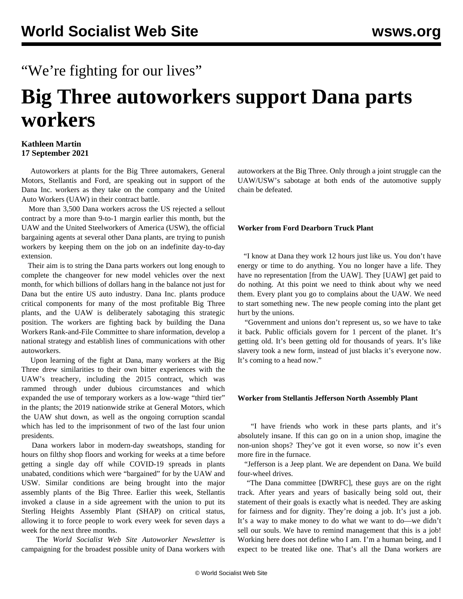## "We're fighting for our lives"

# **Big Three autoworkers support Dana parts workers**

#### **Kathleen Martin 17 September 2021**

 Autoworkers at plants for the Big Three automakers, General Motors, Stellantis and Ford, are speaking out in support of the Dana Inc. workers as they take on the company and the United Auto Workers (UAW) in their contract battle.

 More than 3,500 Dana workers across the US rejected a sellout contract by a more than 9-to-1 margin earlier this month, but the UAW and the United Steelworkers of America (USW), the official bargaining agents at several other Dana plants, are trying to punish workers by keeping them on the job on an indefinite day-to-day extension.

 Their aim is to string the Dana parts workers out long enough to complete the changeover for new model vehicles over the next month, for which billions of dollars hang in the balance not just for Dana but the entire US auto industry. Dana Inc. plants produce critical components for many of the most profitable Big Three plants, and the UAW is deliberately sabotaging this strategic position. The workers are fighting back by building the Dana Workers Rank-and-File Committee to share information, develop a national strategy and establish lines of communications with other autoworkers.

 Upon learning of the fight at Dana, many workers at the Big Three drew similarities to their own bitter experiences with the UAW's treachery, including the 2015 contract, which was rammed through under dubious circumstances and which expanded the use of temporary workers as a low-wage "third tier" in the plants; the 2019 nationwide strike at General Motors, which the UAW shut down, as well as the ongoing corruption scandal which has led to the imprisonment of two of the last four union presidents.

 Dana workers labor in modern-day sweatshops, standing for hours on filthy shop floors and working for weeks at a time before getting a single day off while COVID-19 spreads in plants unabated, conditions which were "bargained" for by the UAW and USW. Similar conditions are being brought into the major assembly plants of the Big Three. Earlier this week, Stellantis invoked a clause in a side agreement with the union to put its Sterling Heights Assembly Plant (SHAP) on critical status, allowing it to force people to work every week for seven days a week for the next three months.

 The *World Socialist Web Site Autoworker Newsletter* is campaigning for the broadest possible unity of Dana workers with

autoworkers at the Big Three. Only through a joint struggle can the UAW/USW's sabotage at both ends of the automotive supply chain be defeated.

#### **Worker from Ford Dearborn Truck Plant**

 "I know at Dana they work 12 hours just like us. You don't have energy or time to do anything. You no longer have a life. They have no representation [from the UAW]. They [UAW] get paid to do nothing. At this point we need to think about why we need them. Every plant you go to complains about the UAW. We need to start something new. The new people coming into the plant get hurt by the unions.

 "Government and unions don't represent us, so we have to take it back. Public officials govern for 1 percent of the planet. It's getting old. It's been getting old for thousands of years. It's like slavery took a new form, instead of just blacks it's everyone now. It's coming to a head now."

#### **Worker from Stellantis Jefferson North Assembly Plant**

 "I have friends who work in these parts plants, and it's absolutely insane. If this can go on in a union shop, imagine the non-union shops? They've got it even worse, so now it's even more fire in the furnace.

 "Jefferson is a Jeep plant. We are dependent on Dana. We build four-wheel drives.

 "The Dana committee [DWRFC], these guys are on the right track. After years and years of basically being sold out, their statement of their goals is exactly what is needed. They are asking for fairness and for dignity. They're doing a job. It's just a job. It's a way to make money to do what we want to do—we didn't sell our souls. We have to remind management that this is a job! Working here does not define who I am. I'm a human being, and I expect to be treated like one. That's all the Dana workers are